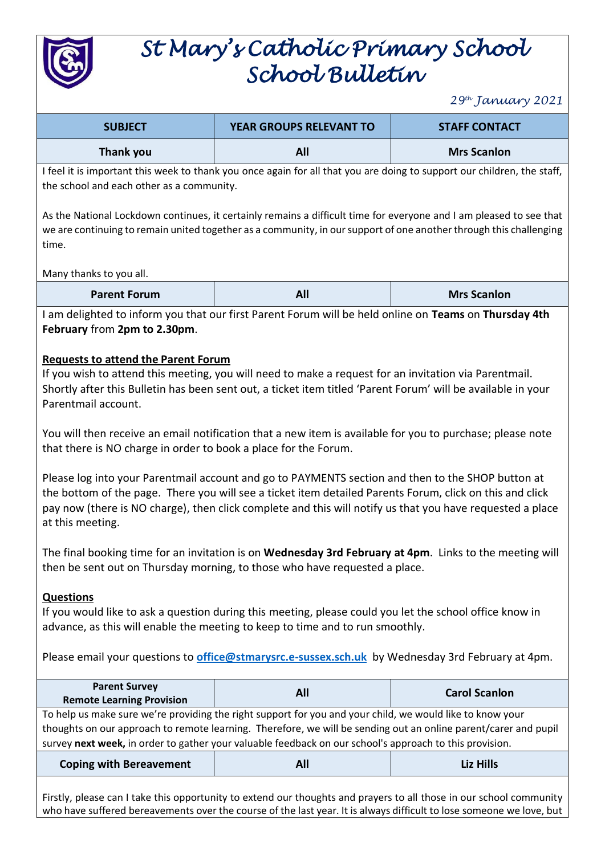

# *St Mary's Catholic Primary School School Bulletin*

*29th January 2021*

| <b>SUBJECT</b>   | <b>YEAR GROUPS RELEVANT TO</b> | <b>STAFF CONTACT</b> |
|------------------|--------------------------------|----------------------|
| <b>Thank you</b> | All                            | <b>Mrs Scanlon</b>   |

I feel it is important this week to thank you once again for all that you are doing to support our children, the staff, the school and each other as a community.

As the National Lockdown continues, it certainly remains a difficult time for everyone and I am pleased to see that we are continuing to remain united together as a community, in our support of one another through this challenging time.

#### Many thanks to you all.

I am delighted to inform you that our first Parent Forum will be held online on **Teams** on **Thursday 4th February** from **2pm to 2.30pm**.

#### **Requests to attend the Parent Forum**

If you wish to attend this meeting, you will need to make a request for an invitation via Parentmail. Shortly after this Bulletin has been sent out, a ticket item titled 'Parent Forum' will be available in your Parentmail account.

You will then receive an email notification that a new item is available for you to purchase; please note that there is NO charge in order to book a place for the Forum.

Please log into your Parentmail account and go to PAYMENTS section and then to the SHOP button at the bottom of the page. There you will see a ticket item detailed Parents Forum, click on this and click pay now (there is NO charge), then click complete and this will notify us that you have requested a place at this meeting.

The final booking time for an invitation is on **Wednesday 3rd February at 4pm**. Links to the meeting will then be sent out on Thursday morning, to those who have requested a place.

#### **Questions**

If you would like to ask a question during this meeting, please could you let the school office know in advance, as this will enable the meeting to keep to time and to run smoothly.

Please email your questions to **[office@stmarysrc.e-sussex.sch.uk](mailto:office@stmarysrc.e-sussex.sch.uk)** by Wednesday 3rd February at 4pm.

| <b>Parent Survey</b><br><b>Remote Learning Provision</b>                                                                                                                                                                     | All | <b>Carol Scanlon</b> |
|------------------------------------------------------------------------------------------------------------------------------------------------------------------------------------------------------------------------------|-----|----------------------|
| To help us make sure we're providing the right support for you and your child, we would like to know your<br>thoughts on our approach to remote learning. Therefore, we will be sending out an online parent/carer and pupil |     |                      |
| survey next week, in order to gather your valuable feedback on our school's approach to this provision.                                                                                                                      |     |                      |
| <b>Coping with Bereavement</b>                                                                                                                                                                                               | All | Liz Hills            |

Firstly, please can I take this opportunity to extend our thoughts and prayers to all those in our school community who have suffered bereavements over the course of the last year. It is always difficult to lose someone we love, but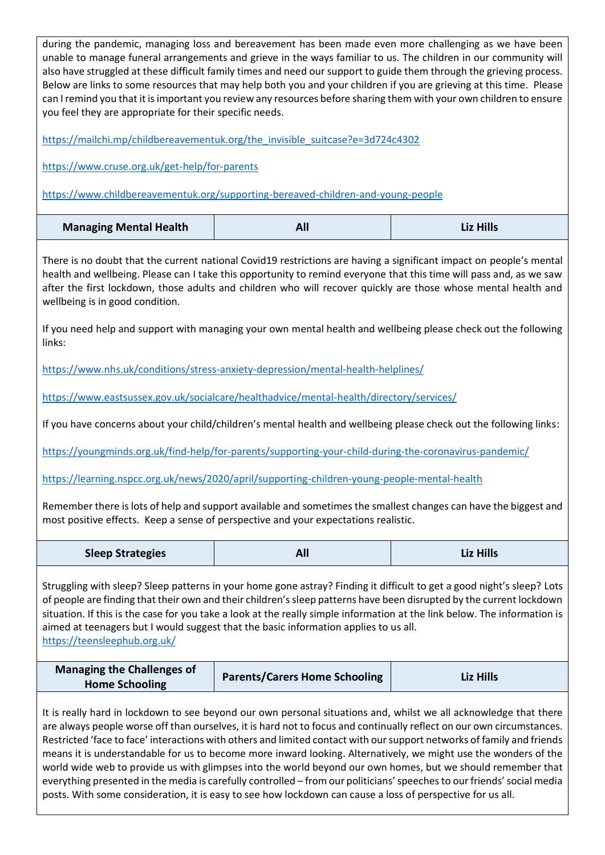| you feel they are appropriate for their specific needs.                                                                                                                                                                                                                                                                                                                                                                                                                                             | during the pandemic, managing loss and bereavement has been made even more challenging as we have been<br>unable to manage funeral arrangements and grieve in the ways familiar to us. The children in our community will<br>also have struggled at these difficult family times and need our support to guide them through the grieving process.<br>Below are links to some resources that may help both you and your children if you are grieving at this time. Please<br>can I remind you that it is important you review any resources before sharing them with your own children to ensure |                  |  |
|-----------------------------------------------------------------------------------------------------------------------------------------------------------------------------------------------------------------------------------------------------------------------------------------------------------------------------------------------------------------------------------------------------------------------------------------------------------------------------------------------------|-------------------------------------------------------------------------------------------------------------------------------------------------------------------------------------------------------------------------------------------------------------------------------------------------------------------------------------------------------------------------------------------------------------------------------------------------------------------------------------------------------------------------------------------------------------------------------------------------|------------------|--|
|                                                                                                                                                                                                                                                                                                                                                                                                                                                                                                     | https://mailchi.mp/childbereavementuk.org/the invisible suitcase?e=3d724c4302                                                                                                                                                                                                                                                                                                                                                                                                                                                                                                                   |                  |  |
| https://www.cruse.org.uk/get-help/for-parents                                                                                                                                                                                                                                                                                                                                                                                                                                                       |                                                                                                                                                                                                                                                                                                                                                                                                                                                                                                                                                                                                 |                  |  |
|                                                                                                                                                                                                                                                                                                                                                                                                                                                                                                     | https://www.childbereavementuk.org/supporting-bereaved-children-and-young-people                                                                                                                                                                                                                                                                                                                                                                                                                                                                                                                |                  |  |
| <b>Managing Mental Health</b>                                                                                                                                                                                                                                                                                                                                                                                                                                                                       | All                                                                                                                                                                                                                                                                                                                                                                                                                                                                                                                                                                                             | <b>Liz Hills</b> |  |
| There is no doubt that the current national Covid19 restrictions are having a significant impact on people's mental<br>health and wellbeing. Please can I take this opportunity to remind everyone that this time will pass and, as we saw<br>after the first lockdown, those adults and children who will recover quickly are those whose mental health and<br>wellbeing is in good condition.                                                                                                     |                                                                                                                                                                                                                                                                                                                                                                                                                                                                                                                                                                                                 |                  |  |
| links:                                                                                                                                                                                                                                                                                                                                                                                                                                                                                              | If you need help and support with managing your own mental health and wellbeing please check out the following                                                                                                                                                                                                                                                                                                                                                                                                                                                                                  |                  |  |
|                                                                                                                                                                                                                                                                                                                                                                                                                                                                                                     | https://www.nhs.uk/conditions/stress-anxiety-depression/mental-health-helplines/                                                                                                                                                                                                                                                                                                                                                                                                                                                                                                                |                  |  |
|                                                                                                                                                                                                                                                                                                                                                                                                                                                                                                     | https://www.eastsussex.gov.uk/socialcare/healthadvice/mental-health/directory/services/                                                                                                                                                                                                                                                                                                                                                                                                                                                                                                         |                  |  |
|                                                                                                                                                                                                                                                                                                                                                                                                                                                                                                     | If you have concerns about your child/children's mental health and wellbeing please check out the following links:                                                                                                                                                                                                                                                                                                                                                                                                                                                                              |                  |  |
| https://youngminds.org.uk/find-help/for-parents/supporting-your-child-during-the-coronavirus-pandemic/                                                                                                                                                                                                                                                                                                                                                                                              |                                                                                                                                                                                                                                                                                                                                                                                                                                                                                                                                                                                                 |                  |  |
| https://learning.nspcc.org.uk/news/2020/april/supporting-children-young-people-mental-health                                                                                                                                                                                                                                                                                                                                                                                                        |                                                                                                                                                                                                                                                                                                                                                                                                                                                                                                                                                                                                 |                  |  |
| Remember there is lots of help and support available and sometimes the smallest changes can have the biggest and<br>most positive effects. Keep a sense of perspective and your expectations realistic.                                                                                                                                                                                                                                                                                             |                                                                                                                                                                                                                                                                                                                                                                                                                                                                                                                                                                                                 |                  |  |
| <b>Sleep Strategies</b>                                                                                                                                                                                                                                                                                                                                                                                                                                                                             | All                                                                                                                                                                                                                                                                                                                                                                                                                                                                                                                                                                                             | <b>Liz Hills</b> |  |
| Struggling with sleep? Sleep patterns in your home gone astray? Finding it difficult to get a good night's sleep? Lots<br>of people are finding that their own and their children's sleep patterns have been disrupted by the current lockdown<br>situation. If this is the case for you take a look at the really simple information at the link below. The information is<br>aimed at teenagers but I would suggest that the basic information applies to us all.<br>https://teensleephub.org.uk/ |                                                                                                                                                                                                                                                                                                                                                                                                                                                                                                                                                                                                 |                  |  |
| <b>Managing the Challenges of</b><br><b>Home Schooling</b>                                                                                                                                                                                                                                                                                                                                                                                                                                          | <b>Parents/Carers Home Schooling</b>                                                                                                                                                                                                                                                                                                                                                                                                                                                                                                                                                            | <b>Liz Hills</b> |  |
| It is really hard in lockdown to see beyond our own personal situations and, whilst we all acknowledge that there<br>are always people worse off than ourselves, it is hard not to focus and continually reflect on our own circumstances.<br>Restricted 'face to face' interactions with others and limited contact with our support networks of family and friends<br>means it is understandable for us to become more inward looking. Alternatively, we might use the wonders of the             |                                                                                                                                                                                                                                                                                                                                                                                                                                                                                                                                                                                                 |                  |  |

world wide web to provide us with glimpses into the world beyond our own homes, but we should remember that everything presented in the media is carefully controlled – from our politicians' speeches to our friends' social media posts. With some consideration, it is easy to see how lockdown can cause a loss of perspective for us all.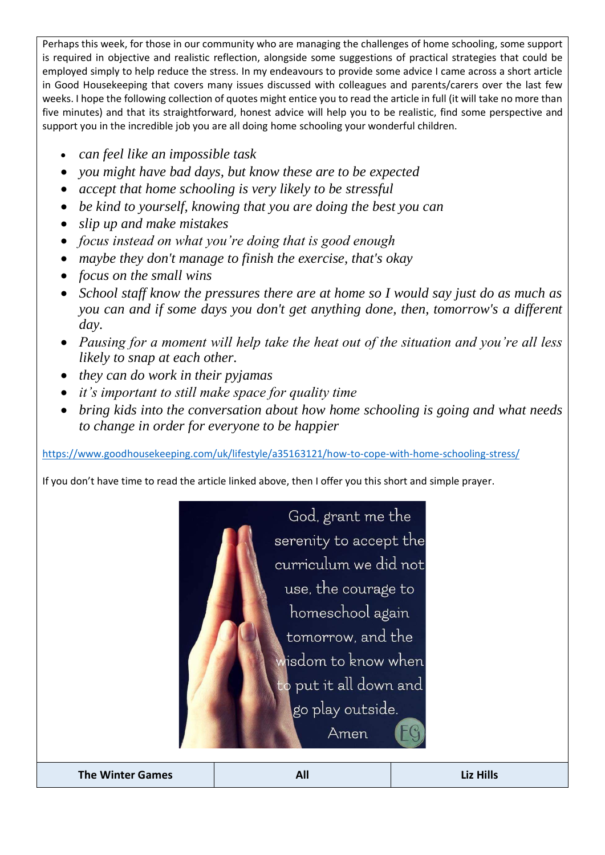Perhaps this week, for those in our community who are managing the challenges of home schooling, some support is required in objective and realistic reflection, alongside some suggestions of practical strategies that could be employed simply to help reduce the stress. In my endeavours to provide some advice I came across a short article in Good Housekeeping that covers many issues discussed with colleagues and parents/carers over the last few weeks. I hope the following collection of quotes might entice you to read the article in full (it will take no more than five minutes) and that its straightforward, honest advice will help you to be realistic, find some perspective and support you in the incredible job you are all doing home schooling your wonderful children.

- *can feel like an impossible task*
- *you might have bad days, but know these are to be expected*
- *accept that home schooling is very likely to be stressful*
- *be kind to yourself, knowing that you are doing the best you can*
- *slip up and make mistakes*
- *focus instead on what you're doing that is good enough*
- *maybe they don't manage to finish the exercise, that's okay*
- *focus on the small wins*
- *School staff know the pressures there are at home so I would say just do as much as you can and if some days you don't get anything done, then, tomorrow's a different day.*
- *Pausing for a moment will help take the heat out of the situation and you're all less likely to snap at each other.*
- *they can do work in their pyjamas*
- *it's important to still make space for quality time*
- *bring kids into the conversation about how home schooling is going and what needs to change in order for everyone to be happier*

<https://www.goodhousekeeping.com/uk/lifestyle/a35163121/how-to-cope-with-home-schooling-stress/>

If you don't have time to read the article linked above, then I offer you this short and simple prayer.



**The Winter Games All Liz Hills**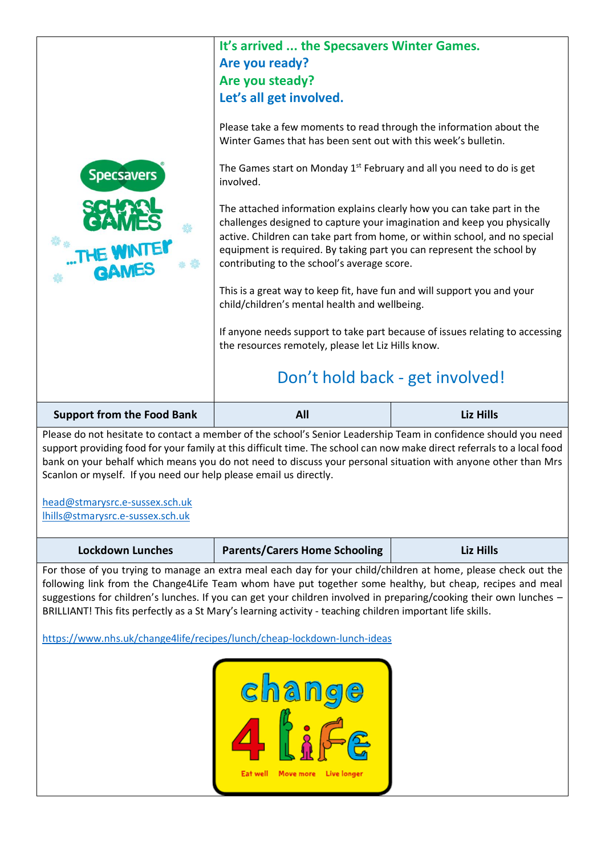### **It's arrived ... the Specsavers Winter Games. Are you ready? Are you steady? Let's all get involved.**

Please take a few moments to read through the information about the Winter Games that has been sent out with this week's bulletin.

The Games start on Monday  $1<sup>st</sup>$  February and all you need to do is get involved.

The attached information explains clearly how you can take part in the challenges designed to capture your imagination and keep you physically active. Children can take part from home, or within school, and no special equipment is required. By taking part you can represent the school by contributing to the school's average score.

This is a great way to keep fit, have fun and will support you and your child/children's mental health and wellbeing.

If anyone needs support to take part because of issues relating to accessing the resources remotely, please let Liz Hills know.

## Don't hold back - get involved!

| <b>Support from the Food Bank</b> | <b>All</b> | <b>Liz Hills</b> |
|-----------------------------------|------------|------------------|
|                                   |            |                  |

Please do not hesitate to contact a member of the school's Senior Leadership Team in confidence should you need support providing food for your family at this difficult time. The school can now make direct referrals to a local food bank on your behalf which means you do not need to discuss your personal situation with anyone other than Mrs Scanlon or myself. If you need our help please email us directly.

[head@stmarysrc.e-sussex.sch.uk](mailto:Head@stmarysrc.e-sussex.sch.uk) [lhills@stmarysrc.e-sussex.sch.uk](mailto:Lhills@stmarysrc.e-sussex.sch.uk)

| <b>Lockdown Lunches</b> | <b>Parents/Carers Home Schooling</b> | Liz Hills |
|-------------------------|--------------------------------------|-----------|
|-------------------------|--------------------------------------|-----------|

For those of you trying to manage an extra meal each day for your child/children at home, please check out the following link from the Change4Life Team whom have put together some healthy, but cheap, recipes and meal suggestions for children's lunches. If you can get your children involved in preparing/cooking their own lunches – BRILLIANT! This fits perfectly as a St Mary's learning activity - teaching children important life skills.

<https://www.nhs.uk/change4life/recipes/lunch/cheap-lockdown-lunch-ideas>